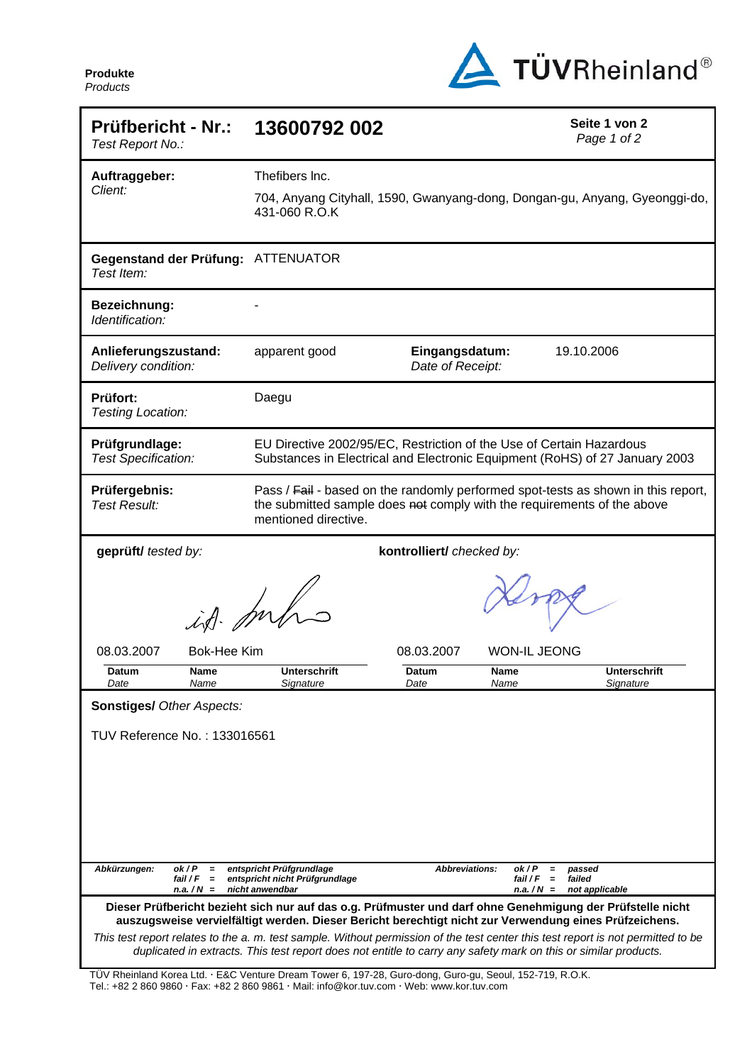**Produkte**  *Products*



| <b>Prüfbericht - Nr.:</b><br>Test Report No.:                                                                                                                                                                                                       | 13600792 002                                                                                                                                                                         | Seite 1 von 2<br>Page 1 of 2                                                                   |  |  |  |  |
|-----------------------------------------------------------------------------------------------------------------------------------------------------------------------------------------------------------------------------------------------------|--------------------------------------------------------------------------------------------------------------------------------------------------------------------------------------|------------------------------------------------------------------------------------------------|--|--|--|--|
| Auftraggeber:                                                                                                                                                                                                                                       | Thefibers Inc.                                                                                                                                                                       |                                                                                                |  |  |  |  |
| Client:                                                                                                                                                                                                                                             | 704, Anyang Cityhall, 1590, Gwanyang-dong, Dongan-gu, Anyang, Gyeonggi-do,<br>431-060 R.O.K                                                                                          |                                                                                                |  |  |  |  |
| Gegenstand der Prüfung: ATTENUATOR<br>Test Item:                                                                                                                                                                                                    |                                                                                                                                                                                      |                                                                                                |  |  |  |  |
| Bezeichnung:<br>Identification:                                                                                                                                                                                                                     |                                                                                                                                                                                      |                                                                                                |  |  |  |  |
| Anlieferungszustand:<br>Delivery condition:                                                                                                                                                                                                         | Eingangsdatum:<br>apparent good<br>Date of Receipt:                                                                                                                                  | 19.10.2006                                                                                     |  |  |  |  |
| <b>Prüfort:</b><br>Testing Location:                                                                                                                                                                                                                | Daegu                                                                                                                                                                                |                                                                                                |  |  |  |  |
| Prüfgrundlage:<br><b>Test Specification:</b>                                                                                                                                                                                                        | EU Directive 2002/95/EC, Restriction of the Use of Certain Hazardous<br>Substances in Electrical and Electronic Equipment (RoHS) of 27 January 2003                                  |                                                                                                |  |  |  |  |
| Prüfergebnis:<br><b>Test Result:</b>                                                                                                                                                                                                                | Pass / Fail - based on the randomly performed spot-tests as shown in this report,<br>the submitted sample does not comply with the requirements of the above<br>mentioned directive. |                                                                                                |  |  |  |  |
| geprüft/ tested by:                                                                                                                                                                                                                                 | kontrolliert/ checked by:                                                                                                                                                            |                                                                                                |  |  |  |  |
|                                                                                                                                                                                                                                                     | id mhs                                                                                                                                                                               |                                                                                                |  |  |  |  |
| 08.03.2007<br><b>Bok-Hee Kim</b>                                                                                                                                                                                                                    | 08.03.2007                                                                                                                                                                           | <b>WON-IL JEONG</b>                                                                            |  |  |  |  |
| Datum<br>Name<br>Date<br>Name                                                                                                                                                                                                                       | <b>Unterschrift</b><br>Datum<br>Signature<br>Date                                                                                                                                    | <b>Unterschrift</b><br>Name<br>Name<br>Signature                                               |  |  |  |  |
| <b>Sonstiges/ Other Aspects:</b>                                                                                                                                                                                                                    |                                                                                                                                                                                      |                                                                                                |  |  |  |  |
| TUV Reference No.: 133016561                                                                                                                                                                                                                        |                                                                                                                                                                                      |                                                                                                |  |  |  |  |
|                                                                                                                                                                                                                                                     |                                                                                                                                                                                      |                                                                                                |  |  |  |  |
|                                                                                                                                                                                                                                                     |                                                                                                                                                                                      |                                                                                                |  |  |  |  |
| Abkürzungen:<br>ok/P<br>$=$<br>fail / F<br>$\equiv$<br>$n.a. / N =$                                                                                                                                                                                 | entspricht Prüfgrundlage<br><b>Abbreviations:</b><br>entspricht nicht Prüfgrundlage<br>nicht anwendbar                                                                               | ok/P<br>passed<br>$\equiv$<br>fail / F<br>$\equiv$<br>failed<br>$n.a. / N =$<br>not applicable |  |  |  |  |
| Dieser Prüfbericht bezieht sich nur auf das o.g. Prüfmuster und darf ohne Genehmigung der Prüfstelle nicht<br>auszugsweise vervielfältigt werden. Dieser Bericht berechtigt nicht zur Verwendung eines Prüfzeichens.                                |                                                                                                                                                                                      |                                                                                                |  |  |  |  |
| This test report relates to the a. m. test sample. Without permission of the test center this test report is not permitted to be<br>duplicated in extracts. This test report does not entitle to carry any safety mark on this or similar products. |                                                                                                                                                                                      |                                                                                                |  |  |  |  |

TÜV Rheinland Korea Ltd. · E&C Venture Dream Tower 6, 197-28, Guro-dong, Guro-gu, Seoul, 152-719, R.O.K. Tel.: +82 2 860 9860 · Fax: +82 2 860 9861 · Mail: info@kor.tuv.com · Web: www.kor.tuv.com